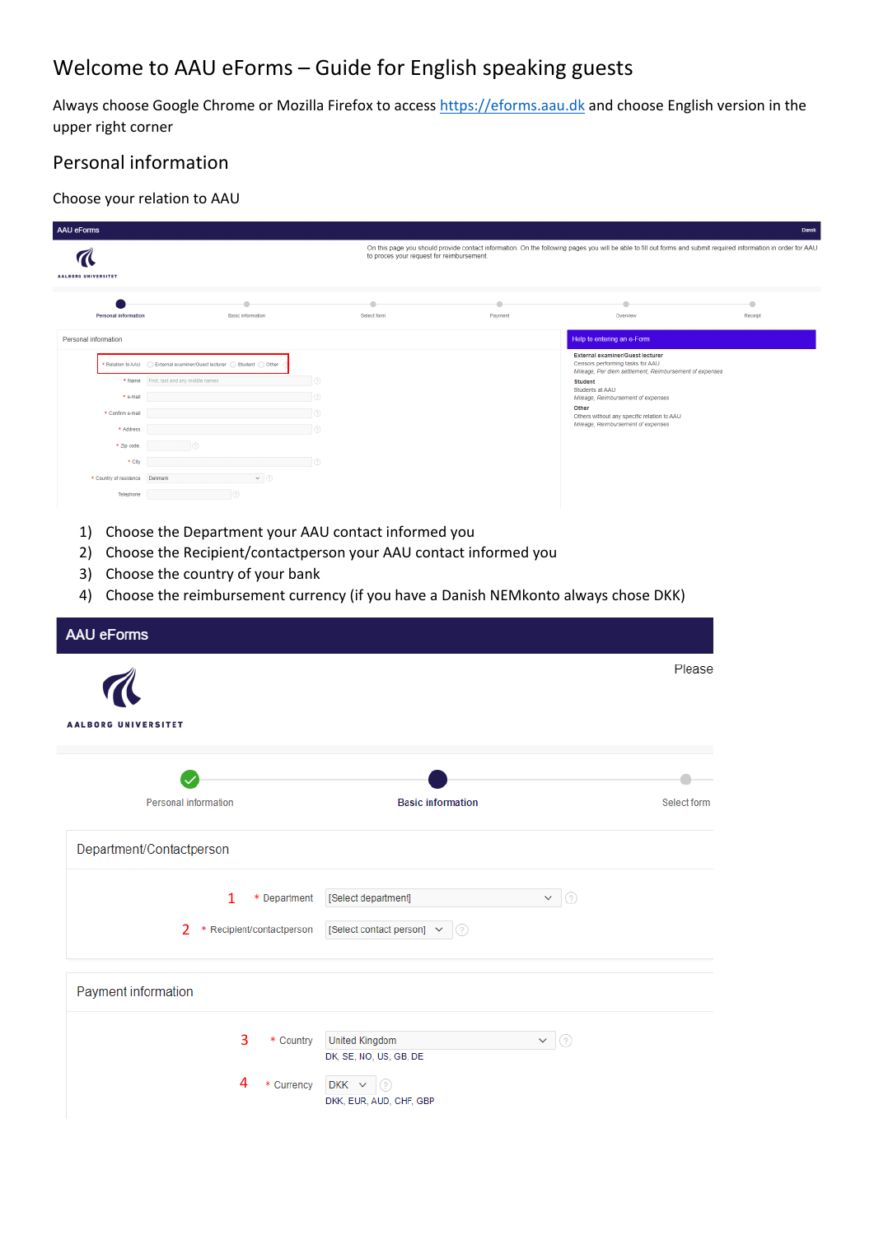# Welcome to AAU eForms – Guide for English speaking guests

Always choose Google Chrome or Mozilla Firefox to access [https://eforms.aau.dk](https://eforms.aau.dk/) and choose English version in the upper right corner

### Personal information

#### Choose your relation to AAU

| <b>AAU eForms</b>           |                                                                                    |                                           |                         |                                                                                                                                                                 | Dansk     |
|-----------------------------|------------------------------------------------------------------------------------|-------------------------------------------|-------------------------|-----------------------------------------------------------------------------------------------------------------------------------------------------------------|-----------|
|                             |                                                                                    | to proces your request for reimbursement. |                         | On this page you should provide contact information. On the following pages you will be able to fill out forms and submit required information in order for AAU |           |
|                             |                                                                                    |                                           |                         |                                                                                                                                                                 |           |
| <b>AALBORG UNIVERSITET</b>  |                                                                                    |                                           |                         |                                                                                                                                                                 |           |
|                             |                                                                                    |                                           |                         |                                                                                                                                                                 | $\bullet$ |
| <b>Personal information</b> | <b>Basic</b> information                                                           | Select form                               | Payment                 | Overview                                                                                                                                                        | Receipt   |
| Personal information        |                                                                                    |                                           |                         | Help to entering an e-Form                                                                                                                                      |           |
|                             |                                                                                    |                                           |                         | <b>External examiner/Guest lecturer</b>                                                                                                                         |           |
|                             | * Relation to AAU   External examiner/Guest lecturer   C Student   C Other         |                                           |                         | Censors performing tasks for AAU<br>Mileage, Per diem settlement, Reimbursement of expenses                                                                     |           |
| * Name                      | First, last and any middle names                                                   |                                           |                         | <b>Student</b><br>Students at AAU                                                                                                                               |           |
| * e-mail                    | 6                                                                                  |                                           |                         | Mileage, Reimbursement of expenses                                                                                                                              |           |
| * Confirm e-mail            |                                                                                    |                                           |                         | Other<br>Others without any specific relation to AAU                                                                                                            |           |
| * Address                   | l ®                                                                                |                                           |                         | Mileage, Reimbursement of expenses                                                                                                                              |           |
| * Zip code.                 |                                                                                    |                                           |                         |                                                                                                                                                                 |           |
| * City                      |                                                                                    |                                           |                         |                                                                                                                                                                 |           |
| * Country of residence      | $\vee$ 0<br>Denmar                                                                 |                                           |                         |                                                                                                                                                                 |           |
| Telephone                   |                                                                                    |                                           |                         |                                                                                                                                                                 |           |
|                             |                                                                                    |                                           |                         |                                                                                                                                                                 |           |
| 1)                          | Choose the Department your AAU contact informed you                                |                                           |                         |                                                                                                                                                                 |           |
| 2)                          | Choose the Recipient/contactperson your AAU contact informed you                   |                                           |                         |                                                                                                                                                                 |           |
|                             |                                                                                    |                                           |                         |                                                                                                                                                                 |           |
| 3)                          | Choose the country of your bank                                                    |                                           |                         |                                                                                                                                                                 |           |
| 4)                          | Choose the reimbursement currency (if you have a Danish NEMkonto always chose DKK) |                                           |                         |                                                                                                                                                                 |           |
|                             |                                                                                    |                                           |                         |                                                                                                                                                                 |           |
| <b>AAU eForms</b>           |                                                                                    |                                           |                         |                                                                                                                                                                 |           |
|                             |                                                                                    |                                           |                         |                                                                                                                                                                 |           |
|                             |                                                                                    |                                           |                         | Please                                                                                                                                                          |           |
|                             |                                                                                    |                                           |                         |                                                                                                                                                                 |           |
|                             |                                                                                    |                                           |                         |                                                                                                                                                                 |           |
|                             |                                                                                    |                                           |                         |                                                                                                                                                                 |           |
| <b>AALBORG UNIVERSITET</b>  |                                                                                    |                                           |                         |                                                                                                                                                                 |           |
|                             |                                                                                    |                                           |                         |                                                                                                                                                                 |           |
|                             |                                                                                    |                                           |                         |                                                                                                                                                                 |           |
|                             |                                                                                    |                                           |                         |                                                                                                                                                                 |           |
|                             | <b>Personal information</b>                                                        | <b>Basic information</b>                  |                         | Select form                                                                                                                                                     |           |
|                             |                                                                                    |                                           |                         |                                                                                                                                                                 |           |
|                             |                                                                                    |                                           |                         |                                                                                                                                                                 |           |
|                             | Department/Contactperson                                                           |                                           |                         |                                                                                                                                                                 |           |
|                             |                                                                                    |                                           |                         |                                                                                                                                                                 |           |
|                             |                                                                                    |                                           |                         |                                                                                                                                                                 |           |
|                             | * Department<br>1                                                                  | [Select department]                       | $\vee$ 2                |                                                                                                                                                                 |           |
|                             |                                                                                    |                                           |                         |                                                                                                                                                                 |           |
|                             | 2 * Recipient/contactperson                                                        | [Select contact person]<br>$\checkmark$   | $\odot$                 |                                                                                                                                                                 |           |
|                             |                                                                                    |                                           |                         |                                                                                                                                                                 |           |
|                             |                                                                                    |                                           |                         |                                                                                                                                                                 |           |
|                             |                                                                                    |                                           |                         |                                                                                                                                                                 |           |
| Payment information         |                                                                                    |                                           |                         |                                                                                                                                                                 |           |
|                             |                                                                                    |                                           |                         |                                                                                                                                                                 |           |
|                             |                                                                                    |                                           |                         |                                                                                                                                                                 |           |
|                             | 3<br>* Country                                                                     | <b>United Kingdom</b>                     | $\mathsf{v} \mid \odot$ |                                                                                                                                                                 |           |
|                             |                                                                                    | DK, SE, NO, US, GB, DE                    |                         |                                                                                                                                                                 |           |
|                             | 4                                                                                  |                                           |                         |                                                                                                                                                                 |           |
|                             | * Currency                                                                         | $\circ$<br>$DKK$ $\sim$                   |                         |                                                                                                                                                                 |           |
|                             |                                                                                    | DKK, EUR, AUD, CHF, GBP                   |                         |                                                                                                                                                                 |           |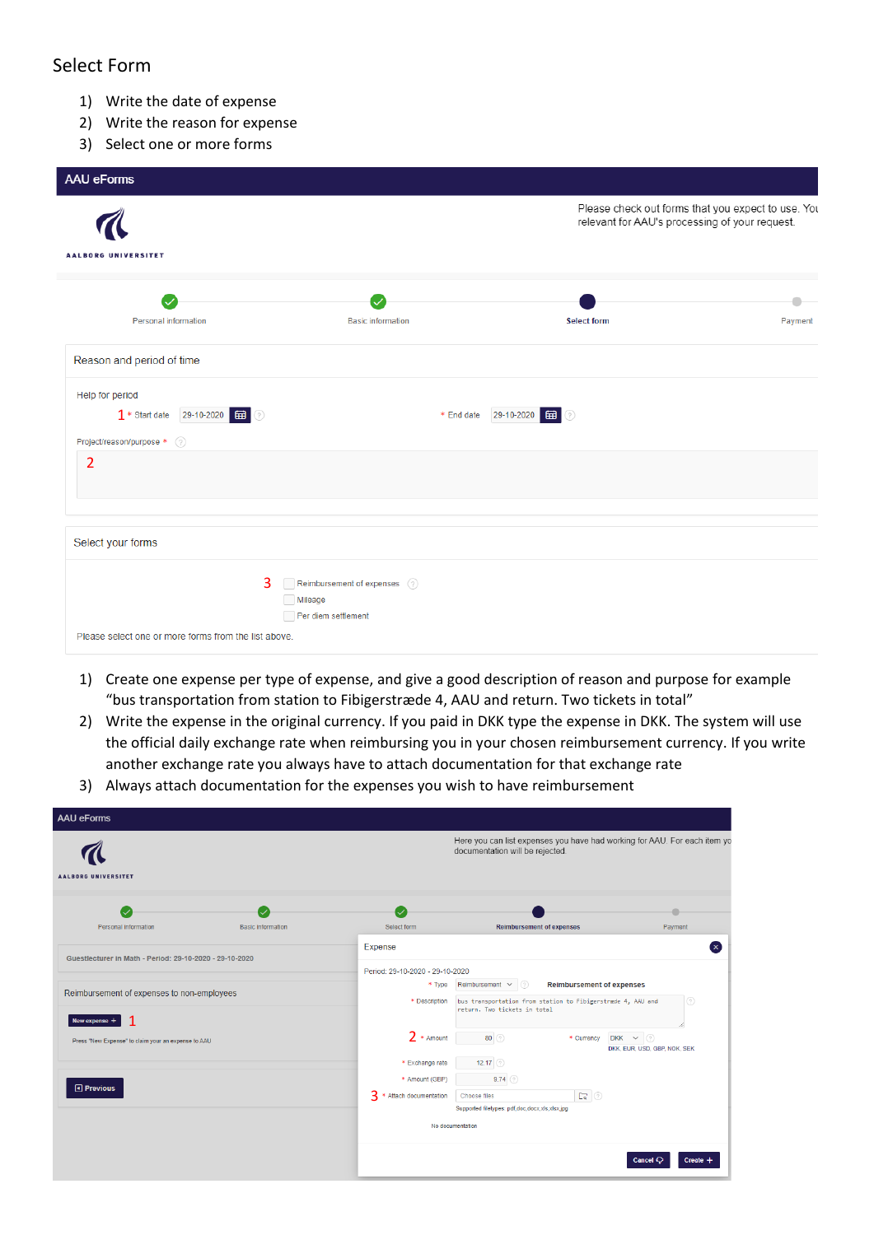#### Select Form

- 1) Write the date of expense
- 2) Write the reason for expense
- 3) Select one or more forms

| <b>AAU eForms</b>                                                                      |                                                                 |                              |                    |                                                                                                      |
|----------------------------------------------------------------------------------------|-----------------------------------------------------------------|------------------------------|--------------------|------------------------------------------------------------------------------------------------------|
| <b>AALBORG UNIVERSITET</b>                                                             |                                                                 |                              |                    | Please check out forms that you expect to use. You<br>relevant for AAU's processing of your request. |
| <b>Personal information</b>                                                            | <b>Basic information</b>                                        |                              | <b>Select form</b> | Payment                                                                                              |
| Reason and period of time                                                              |                                                                 |                              |                    |                                                                                                      |
| Help for period<br>1 * Start date 29-10-2020 <b>11</b><br>Project/reason/purpose * (?) |                                                                 | 29-10-2020 田 ②<br>* End date |                    |                                                                                                      |
| 2                                                                                      |                                                                 |                              |                    |                                                                                                      |
| Select your forms                                                                      |                                                                 |                              |                    |                                                                                                      |
| 3<br>Please select one or more forms from the list above.                              | Reimbursement of expenses (?)<br>Mileage<br>Per diem settlement |                              |                    |                                                                                                      |

- 1) Create one expense per type of expense, and give a good description of reason and purpose for example "bus transportation from station to Fibigerstræde 4, AAU and return. Two tickets in total"
- 2) Write the expense in the original currency. If you paid in DKK type the expense in DKK. The system will use the official daily exchange rate when reimbursing you in your chosen reimbursement currency. If you write another exchange rate you always have to attach documentation for that exchange rate
- 3) Always attach documentation for the expenses you wish to have reimbursement

| <b>AAU eForms</b>                                       |                          |                          |                                                                                                              |                                                  |
|---------------------------------------------------------|--------------------------|--------------------------|--------------------------------------------------------------------------------------------------------------|--------------------------------------------------|
| <b>AALBORG UNIVERSITET</b>                              |                          |                          | Here you can list expenses you have had working for AAU. For each item yo<br>documentation will be rejected. |                                                  |
|                                                         |                          |                          |                                                                                                              |                                                  |
|                                                         |                          |                          |                                                                                                              |                                                  |
| <b>Personal information</b>                             | <b>Basic information</b> | Select form              | <b>Reimbursement of expenses</b>                                                                             | Payment                                          |
| Guestlecturer in Math - Period: 29-10-2020 - 29-10-2020 |                          | Expense                  |                                                                                                              |                                                  |
|                                                         |                          |                          | Period: 29-10-2020 - 29-10-2020                                                                              |                                                  |
| Reimbursement of expenses to non-employees              |                          | * Type                   | Reimbursement ~<br> ල<br><b>Reimbursement of expenses</b>                                                    |                                                  |
|                                                         |                          | * Description            | (2)<br>bus transportation from station to Fibigerstræde 4, AAU and<br>return. Two tickets in total           |                                                  |
| New expense +                                           |                          |                          |                                                                                                              |                                                  |
| Press "New Expense" to claim your an expense to AAU     |                          | $2 *$ Amount             | 80(2)<br>* Currency                                                                                          | $DKK \sim \odot$<br>DKK, EUR, USD, GBP, NOK, SEK |
|                                                         |                          | * Exchange rate          | 12.17 $(2)$                                                                                                  |                                                  |
|                                                         |                          | * Amount (GBP)           | $9.74$ $\odot$                                                                                               |                                                  |
| O Previous                                              |                          | 3 * Attach documentation | $\Box$<br>Choose files                                                                                       |                                                  |
|                                                         |                          |                          | Supported filetypes: pdf,doc,docx,xls,xlsx,jpg                                                               |                                                  |
|                                                         |                          |                          | No documentation                                                                                             |                                                  |
|                                                         |                          |                          |                                                                                                              | Cancel $\mathbb{C}$<br>Create +                  |
|                                                         |                          |                          |                                                                                                              |                                                  |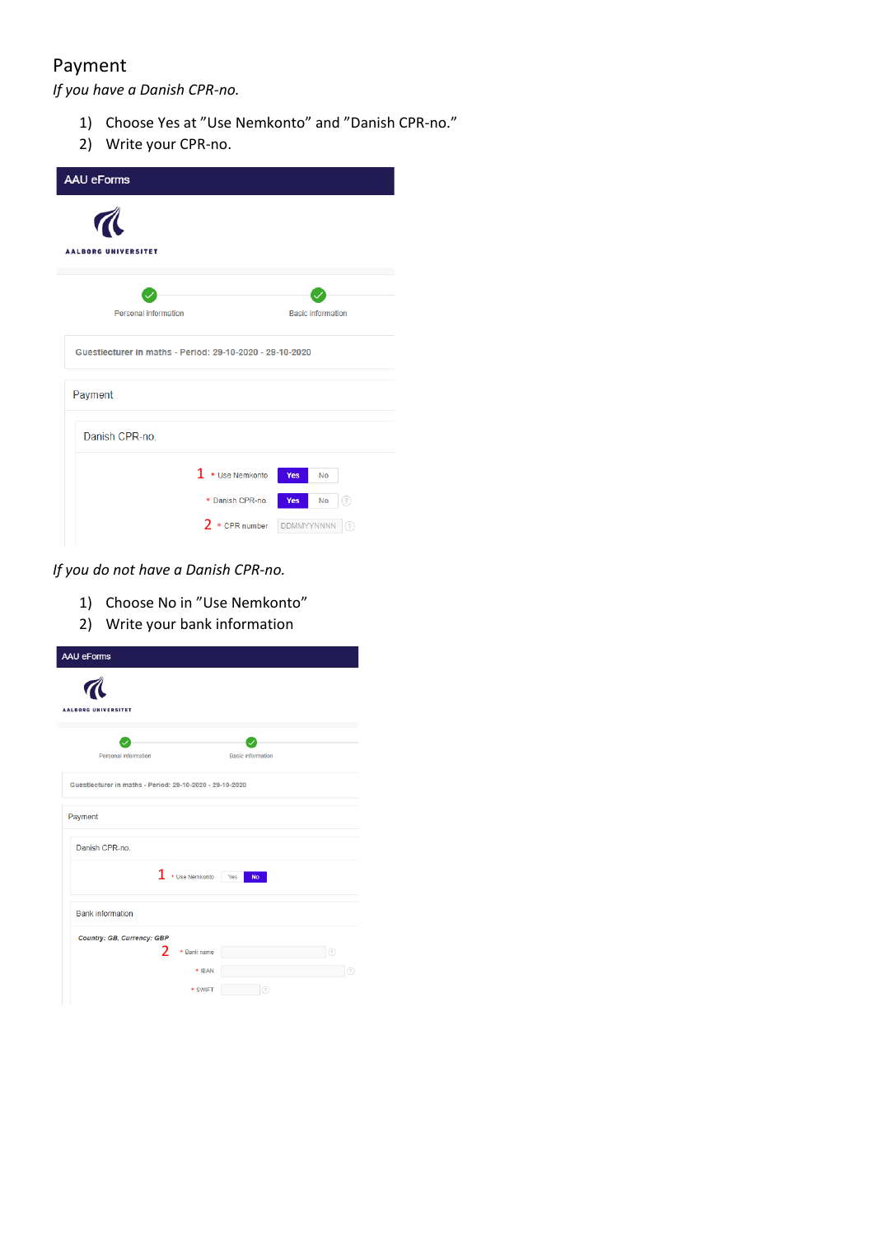### Payment

*If you have a Danish CPR-no.*

- 1) Choose Yes at "Use Nemkonto" and "Danish CPR-no."
- 2) Write your CPR-no.

| <b>AAU eForms</b>                                        |                          |  |  |  |
|----------------------------------------------------------|--------------------------|--|--|--|
| <b>AALBORG UNIVERSITET</b>                               |                          |  |  |  |
|                                                          |                          |  |  |  |
| <b>Personal information</b>                              | <b>Basic information</b> |  |  |  |
| Guestlecturer in maths - Period: 29-10-2020 - 29-10-2020 |                          |  |  |  |
| Payment                                                  |                          |  |  |  |
| Danish CPR-no.                                           |                          |  |  |  |
| $1 * U$ se Nemkonto                                      | Yes<br>No                |  |  |  |
| * Danish CPR-no.                                         | Yes<br>No<br>0           |  |  |  |
| $2 *$ CPR number                                         | DDMMYYNNNN<br>2          |  |  |  |

*If you do not have a Danish CPR-no.*

- 1) Choose No in "Use Nemkonto"
- 2) Write your bank information

| <b>AAU eForms</b>                                        |                          |  |  |  |
|----------------------------------------------------------|--------------------------|--|--|--|
| <b>AALBORG UNIVERSITET</b>                               |                          |  |  |  |
| <b>Personal information</b>                              | <b>Basic information</b> |  |  |  |
| Guestlecturer in maths - Period: 29-10-2020 - 29-10-2020 |                          |  |  |  |
| Payment                                                  |                          |  |  |  |
| Danish CPR-no.                                           |                          |  |  |  |
| 1. * Use Nemkonto                                        | <b>No</b><br>Yes         |  |  |  |
| <b>Bank information</b>                                  |                          |  |  |  |
| Country: GB, Currency: GBP                               |                          |  |  |  |
| 2<br>* Bank name                                         | ⊚                        |  |  |  |
| * IBAN                                                   |                          |  |  |  |
| * SWIFT                                                  | ⊘                        |  |  |  |